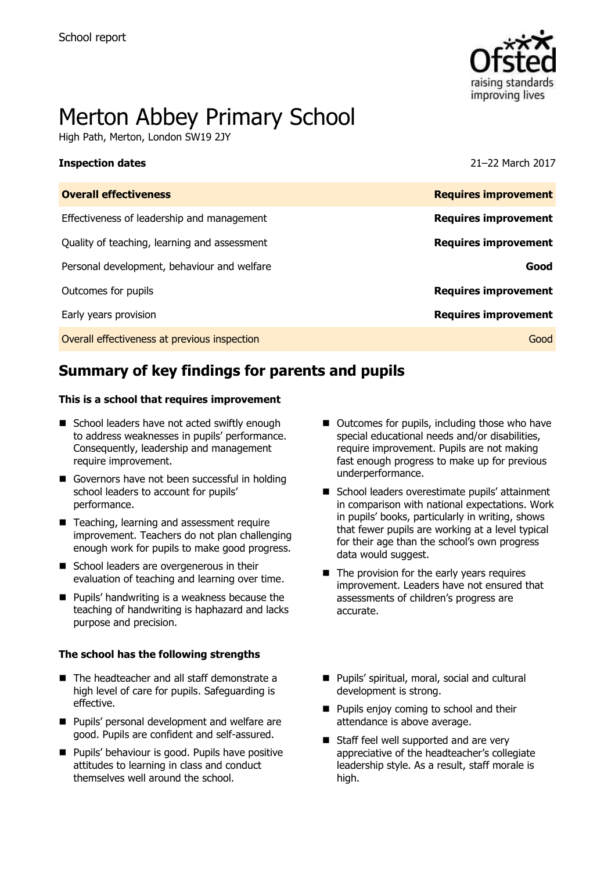

# Merton Abbey Primary School

High Path, Merton, London SW19 2JY

### **Inspection dates** 21–22 March 2017

| <b>Overall effectiveness</b>                 | <b>Requires improvement</b> |
|----------------------------------------------|-----------------------------|
| Effectiveness of leadership and management   | <b>Requires improvement</b> |
| Quality of teaching, learning and assessment | <b>Requires improvement</b> |
| Personal development, behaviour and welfare  | Good                        |
| Outcomes for pupils                          | <b>Requires improvement</b> |
| Early years provision                        | <b>Requires improvement</b> |
| Overall effectiveness at previous inspection | Good                        |
|                                              |                             |

# **Summary of key findings for parents and pupils**

### **This is a school that requires improvement**

- School leaders have not acted swiftly enough to address weaknesses in pupils' performance. Consequently, leadership and management require improvement.
- Governors have not been successful in holding school leaders to account for pupils' performance.
- Teaching, learning and assessment require improvement. Teachers do not plan challenging enough work for pupils to make good progress.
- School leaders are overgenerous in their evaluation of teaching and learning over time.
- **Pupils' handwriting is a weakness because the** teaching of handwriting is haphazard and lacks purpose and precision.

### **The school has the following strengths**

- The headteacher and all staff demonstrate a high level of care for pupils. Safeguarding is effective.
- **Pupils' personal development and welfare are** good. Pupils are confident and self-assured.
- **Pupils' behaviour is good. Pupils have positive** attitudes to learning in class and conduct themselves well around the school.
- Outcomes for pupils, including those who have special educational needs and/or disabilities, require improvement. Pupils are not making fast enough progress to make up for previous underperformance.
- School leaders overestimate pupils' attainment in comparison with national expectations. Work in pupils' books, particularly in writing, shows that fewer pupils are working at a level typical for their age than the school's own progress data would suggest.
- $\blacksquare$  The provision for the early years requires improvement. Leaders have not ensured that assessments of children's progress are accurate.
- Pupils' spiritual, moral, social and cultural development is strong.
- **Pupils enjoy coming to school and their** attendance is above average.
- Staff feel well supported and are very appreciative of the headteacher's collegiate leadership style. As a result, staff morale is high.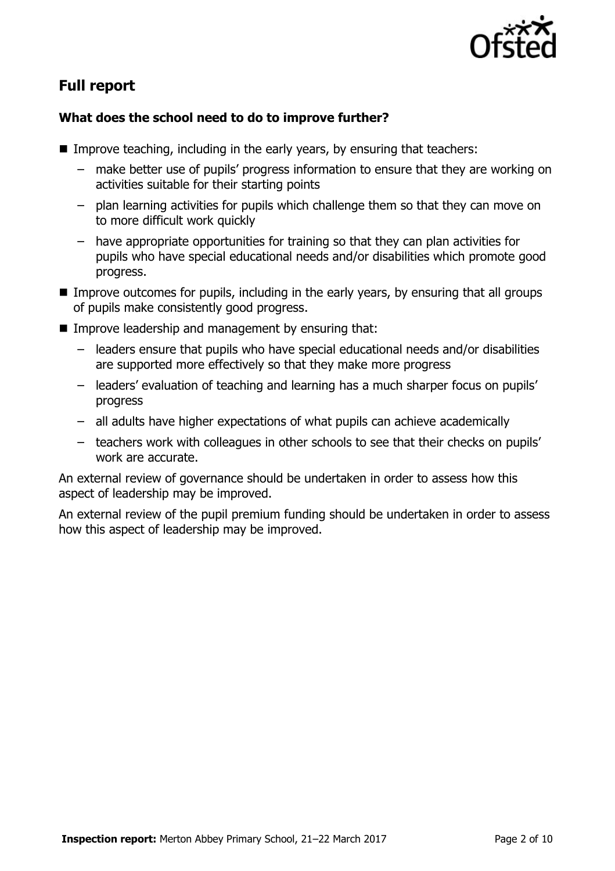

# **Full report**

### **What does the school need to do to improve further?**

- Improve teaching, including in the early years, by ensuring that teachers:
	- make better use of pupils' progress information to ensure that they are working on activities suitable for their starting points
	- plan learning activities for pupils which challenge them so that they can move on to more difficult work quickly
	- have appropriate opportunities for training so that they can plan activities for pupils who have special educational needs and/or disabilities which promote good progress.
- **IMPROVE** Improve outcomes for pupils, including in the early years, by ensuring that all groups of pupils make consistently good progress.
- $\blacksquare$  Improve leadership and management by ensuring that:
	- leaders ensure that pupils who have special educational needs and/or disabilities are supported more effectively so that they make more progress
	- leaders' evaluation of teaching and learning has a much sharper focus on pupils' progress
	- all adults have higher expectations of what pupils can achieve academically
	- teachers work with colleagues in other schools to see that their checks on pupils' work are accurate.

An external review of governance should be undertaken in order to assess how this aspect of leadership may be improved.

An external review of the pupil premium funding should be undertaken in order to assess how this aspect of leadership may be improved.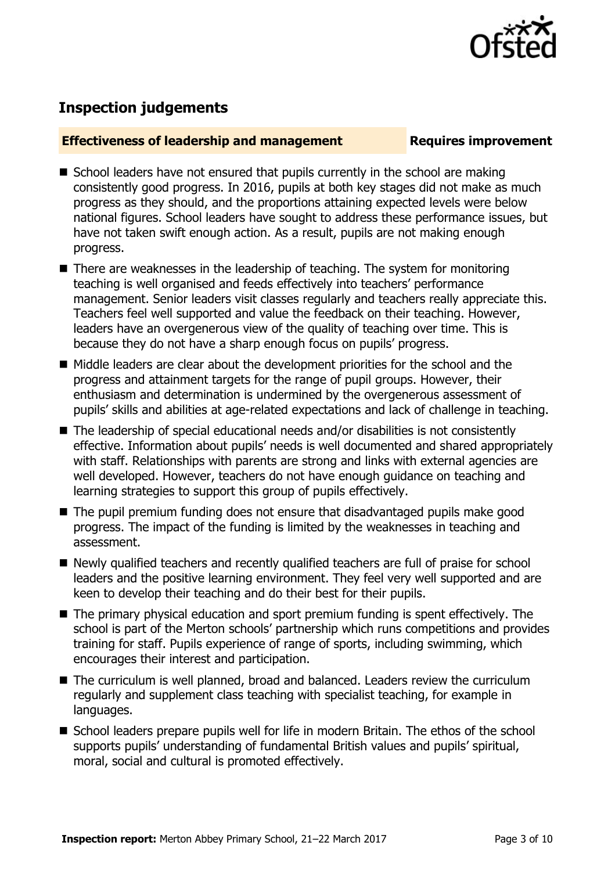

# **Inspection judgements**

### **Effectiveness of leadership and management Requires improvement**

- $\blacksquare$  School leaders have not ensured that pupils currently in the school are making consistently good progress. In 2016, pupils at both key stages did not make as much progress as they should, and the proportions attaining expected levels were below national figures. School leaders have sought to address these performance issues, but have not taken swift enough action. As a result, pupils are not making enough progress.
- There are weaknesses in the leadership of teaching. The system for monitoring teaching is well organised and feeds effectively into teachers' performance management. Senior leaders visit classes regularly and teachers really appreciate this. Teachers feel well supported and value the feedback on their teaching. However, leaders have an overgenerous view of the quality of teaching over time. This is because they do not have a sharp enough focus on pupils' progress.
- Middle leaders are clear about the development priorities for the school and the progress and attainment targets for the range of pupil groups. However, their enthusiasm and determination is undermined by the overgenerous assessment of pupils' skills and abilities at age-related expectations and lack of challenge in teaching.
- The leadership of special educational needs and/or disabilities is not consistently effective. Information about pupils' needs is well documented and shared appropriately with staff. Relationships with parents are strong and links with external agencies are well developed. However, teachers do not have enough guidance on teaching and learning strategies to support this group of pupils effectively.
- The pupil premium funding does not ensure that disadvantaged pupils make good progress. The impact of the funding is limited by the weaknesses in teaching and assessment.
- Newly qualified teachers and recently qualified teachers are full of praise for school leaders and the positive learning environment. They feel very well supported and are keen to develop their teaching and do their best for their pupils.
- The primary physical education and sport premium funding is spent effectively. The school is part of the Merton schools' partnership which runs competitions and provides training for staff. Pupils experience of range of sports, including swimming, which encourages their interest and participation.
- The curriculum is well planned, broad and balanced. Leaders review the curriculum regularly and supplement class teaching with specialist teaching, for example in languages.
- School leaders prepare pupils well for life in modern Britain. The ethos of the school supports pupils' understanding of fundamental British values and pupils' spiritual, moral, social and cultural is promoted effectively.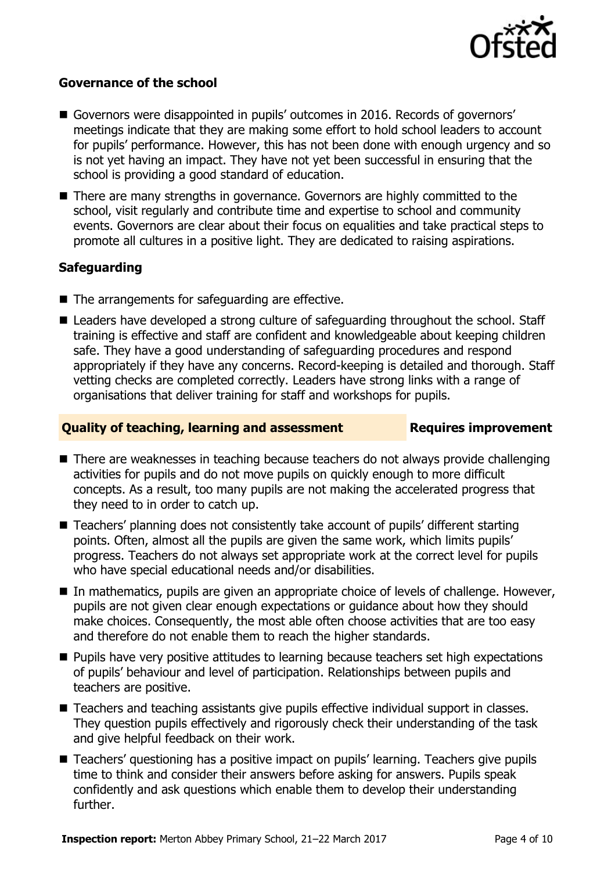

### **Governance of the school**

- Governors were disappointed in pupils' outcomes in 2016. Records of governors' meetings indicate that they are making some effort to hold school leaders to account for pupils' performance. However, this has not been done with enough urgency and so is not yet having an impact. They have not yet been successful in ensuring that the school is providing a good standard of education.
- There are many strengths in governance. Governors are highly committed to the school, visit regularly and contribute time and expertise to school and community events. Governors are clear about their focus on equalities and take practical steps to promote all cultures in a positive light. They are dedicated to raising aspirations.

### **Safeguarding**

- The arrangements for safeguarding are effective.
- Leaders have developed a strong culture of safeguarding throughout the school. Staff training is effective and staff are confident and knowledgeable about keeping children safe. They have a good understanding of safeguarding procedures and respond appropriately if they have any concerns. Record-keeping is detailed and thorough. Staff vetting checks are completed correctly. Leaders have strong links with a range of organisations that deliver training for staff and workshops for pupils.

### **Quality of teaching, learning and assessment Requires improvement**

- There are weaknesses in teaching because teachers do not always provide challenging activities for pupils and do not move pupils on quickly enough to more difficult concepts. As a result, too many pupils are not making the accelerated progress that they need to in order to catch up.
- Teachers' planning does not consistently take account of pupils' different starting points. Often, almost all the pupils are given the same work, which limits pupils' progress. Teachers do not always set appropriate work at the correct level for pupils who have special educational needs and/or disabilities.
- In mathematics, pupils are given an appropriate choice of levels of challenge. However, pupils are not given clear enough expectations or guidance about how they should make choices. Consequently, the most able often choose activities that are too easy and therefore do not enable them to reach the higher standards.
- **Pupils have very positive attitudes to learning because teachers set high expectations** of pupils' behaviour and level of participation. Relationships between pupils and teachers are positive.
- Teachers and teaching assistants give pupils effective individual support in classes. They question pupils effectively and rigorously check their understanding of the task and give helpful feedback on their work.
- Teachers' questioning has a positive impact on pupils' learning. Teachers give pupils time to think and consider their answers before asking for answers. Pupils speak confidently and ask questions which enable them to develop their understanding further.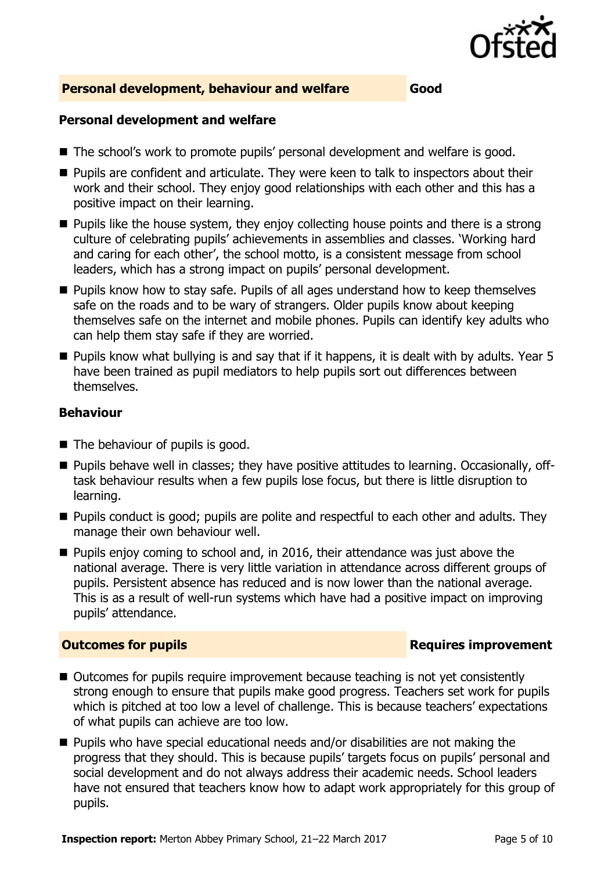

### **Personal development, behaviour and welfare Good**

### **Personal development and welfare**

- The school's work to promote pupils' personal development and welfare is good.
- **Pupils are confident and articulate. They were keen to talk to inspectors about their** work and their school. They enjoy good relationships with each other and this has a positive impact on their learning.
- $\blacksquare$  Pupils like the house system, they enjoy collecting house points and there is a strong culture of celebrating pupils' achievements in assemblies and classes. 'Working hard and caring for each other', the school motto, is a consistent message from school leaders, which has a strong impact on pupils' personal development.
- **Pupils know how to stay safe. Pupils of all ages understand how to keep themselves** safe on the roads and to be wary of strangers. Older pupils know about keeping themselves safe on the internet and mobile phones. Pupils can identify key adults who can help them stay safe if they are worried.
- Pupils know what bullying is and say that if it happens, it is dealt with by adults. Year 5 have been trained as pupil mediators to help pupils sort out differences between themselves.

### **Behaviour**

- $\blacksquare$  The behaviour of pupils is good.
- Pupils behave well in classes; they have positive attitudes to learning. Occasionally, offtask behaviour results when a few pupils lose focus, but there is little disruption to learning.
- **Pupils conduct is good; pupils are polite and respectful to each other and adults. They** manage their own behaviour well.
- **Pupils enjoy coming to school and, in 2016, their attendance was just above the** national average. There is very little variation in attendance across different groups of pupils. Persistent absence has reduced and is now lower than the national average. This is as a result of well-run systems which have had a positive impact on improving pupils' attendance.

### **Outcomes for pupils Requires improvement**

- Outcomes for pupils require improvement because teaching is not yet consistently strong enough to ensure that pupils make good progress. Teachers set work for pupils which is pitched at too low a level of challenge. This is because teachers' expectations of what pupils can achieve are too low.
- Pupils who have special educational needs and/or disabilities are not making the progress that they should. This is because pupils' targets focus on pupils' personal and social development and do not always address their academic needs. School leaders have not ensured that teachers know how to adapt work appropriately for this group of pupils.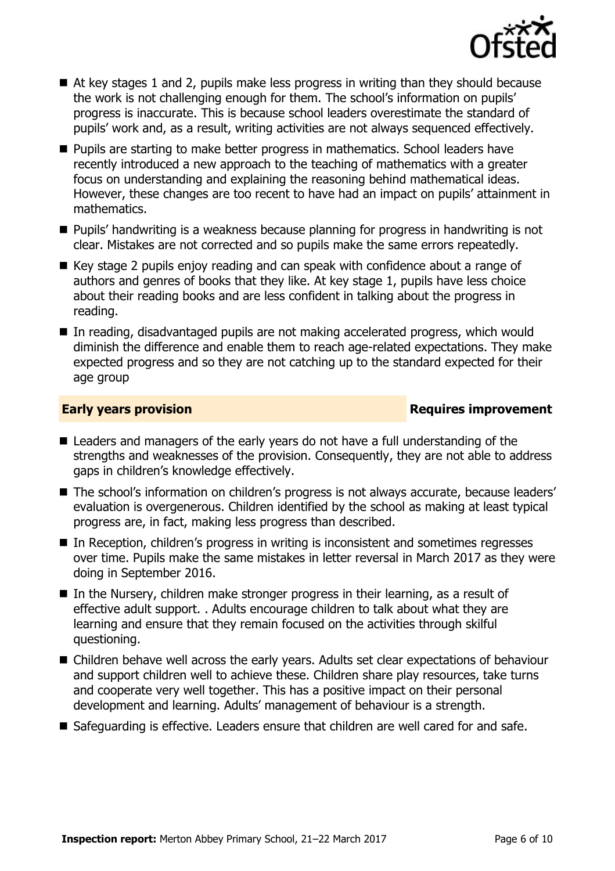

- At key stages 1 and 2, pupils make less progress in writing than they should because the work is not challenging enough for them. The school's information on pupils' progress is inaccurate. This is because school leaders overestimate the standard of pupils' work and, as a result, writing activities are not always sequenced effectively.
- **Pupils are starting to make better progress in mathematics. School leaders have** recently introduced a new approach to the teaching of mathematics with a greater focus on understanding and explaining the reasoning behind mathematical ideas. However, these changes are too recent to have had an impact on pupils' attainment in mathematics.
- **Pupils' handwriting is a weakness because planning for progress in handwriting is not** clear. Mistakes are not corrected and so pupils make the same errors repeatedly.
- Key stage 2 pupils enjoy reading and can speak with confidence about a range of authors and genres of books that they like. At key stage 1, pupils have less choice about their reading books and are less confident in talking about the progress in reading.
- In reading, disadvantaged pupils are not making accelerated progress, which would diminish the difference and enable them to reach age-related expectations. They make expected progress and so they are not catching up to the standard expected for their age group

### **Early years provision Requires improvement**

- Leaders and managers of the early years do not have a full understanding of the strengths and weaknesses of the provision. Consequently, they are not able to address gaps in children's knowledge effectively.
- The school's information on children's progress is not always accurate, because leaders' evaluation is overgenerous. Children identified by the school as making at least typical progress are, in fact, making less progress than described.
- In Reception, children's progress in writing is inconsistent and sometimes regresses over time. Pupils make the same mistakes in letter reversal in March 2017 as they were doing in September 2016.
- In the Nursery, children make stronger progress in their learning, as a result of effective adult support. . Adults encourage children to talk about what they are learning and ensure that they remain focused on the activities through skilful questioning.
- Children behave well across the early years. Adults set clear expectations of behaviour and support children well to achieve these. Children share play resources, take turns and cooperate very well together. This has a positive impact on their personal development and learning. Adults' management of behaviour is a strength.
- Safeguarding is effective. Leaders ensure that children are well cared for and safe.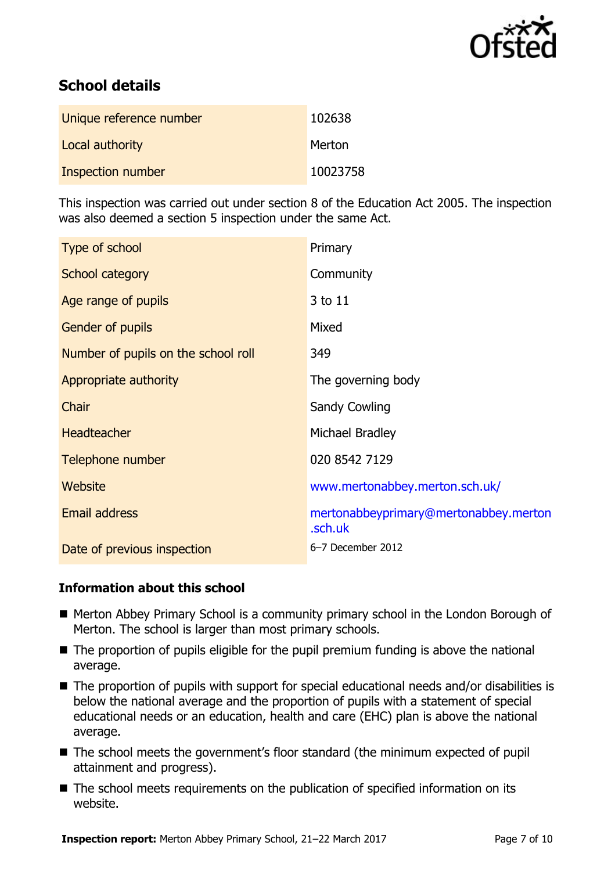

# **School details**

| Unique reference number | 102638   |
|-------------------------|----------|
| Local authority         | Merton   |
| Inspection number       | 10023758 |

This inspection was carried out under section 8 of the Education Act 2005. The inspection was also deemed a section 5 inspection under the same Act.

| Type of school                      | Primary                                          |
|-------------------------------------|--------------------------------------------------|
| School category                     | Community                                        |
| Age range of pupils                 | 3 to 11                                          |
| <b>Gender of pupils</b>             | Mixed                                            |
| Number of pupils on the school roll | 349                                              |
| Appropriate authority               | The governing body                               |
| Chair                               | <b>Sandy Cowling</b>                             |
| <b>Headteacher</b>                  | Michael Bradley                                  |
| Telephone number                    | 020 8542 7129                                    |
| Website                             | www.mertonabbey.merton.sch.uk/                   |
| Email address                       | mertonabbeyprimary@mertonabbey.merton<br>.sch.uk |
| Date of previous inspection         | 6-7 December 2012                                |

### **Information about this school**

- Merton Abbey Primary School is a community primary school in the London Borough of Merton. The school is larger than most primary schools.
- The proportion of pupils eligible for the pupil premium funding is above the national average.
- The proportion of pupils with support for special educational needs and/or disabilities is below the national average and the proportion of pupils with a statement of special educational needs or an education, health and care (EHC) plan is above the national average.
- The school meets the government's floor standard (the minimum expected of pupil attainment and progress).
- The school meets requirements on the publication of specified information on its website.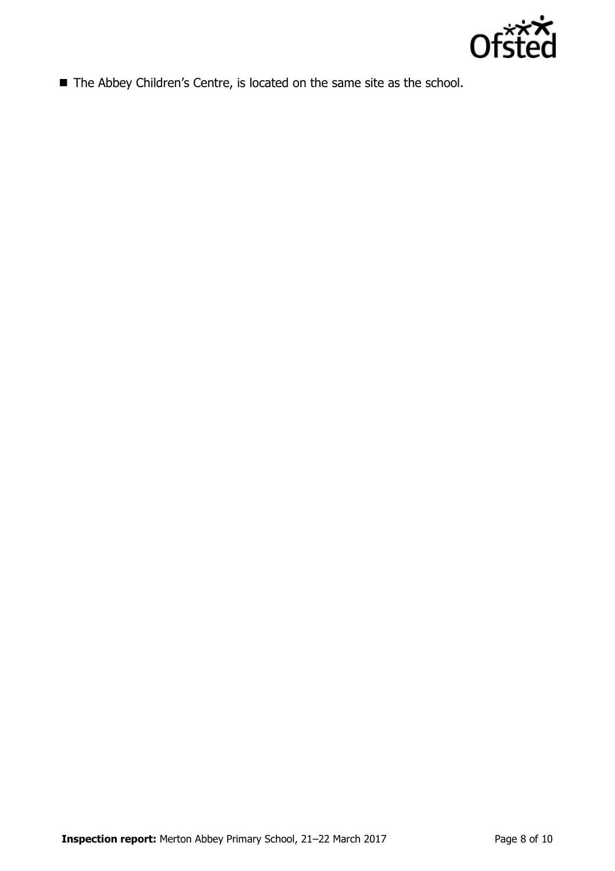

■ The Abbey Children's Centre, is located on the same site as the school.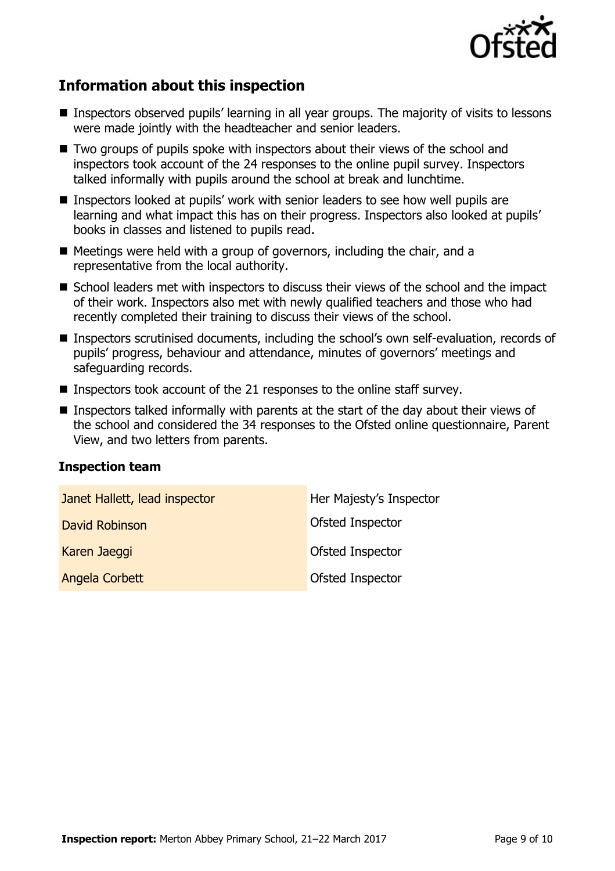

# **Information about this inspection**

- Inspectors observed pupils' learning in all year groups. The majority of visits to lessons were made jointly with the headteacher and senior leaders.
- Two groups of pupils spoke with inspectors about their views of the school and inspectors took account of the 24 responses to the online pupil survey. Inspectors talked informally with pupils around the school at break and lunchtime.
- Inspectors looked at pupils' work with senior leaders to see how well pupils are learning and what impact this has on their progress. Inspectors also looked at pupils' books in classes and listened to pupils read.
- $\blacksquare$  Meetings were held with a group of governors, including the chair, and a representative from the local authority.
- School leaders met with inspectors to discuss their views of the school and the impact of their work. Inspectors also met with newly qualified teachers and those who had recently completed their training to discuss their views of the school.
- Inspectors scrutinised documents, including the school's own self-evaluation, records of pupils' progress, behaviour and attendance, minutes of governors' meetings and safeguarding records.
- Inspectors took account of the 21 responses to the online staff survey.
- **Inspectors talked informally with parents at the start of the day about their views of** the school and considered the 34 responses to the Ofsted online questionnaire, Parent View, and two letters from parents.

### **Inspection team**

| Janet Hallett, lead inspector | Her Majesty's Inspector |
|-------------------------------|-------------------------|
| David Robinson                | <b>Ofsted Inspector</b> |
| Karen Jaeggi                  | Ofsted Inspector        |
| <b>Angela Corbett</b>         | Ofsted Inspector        |